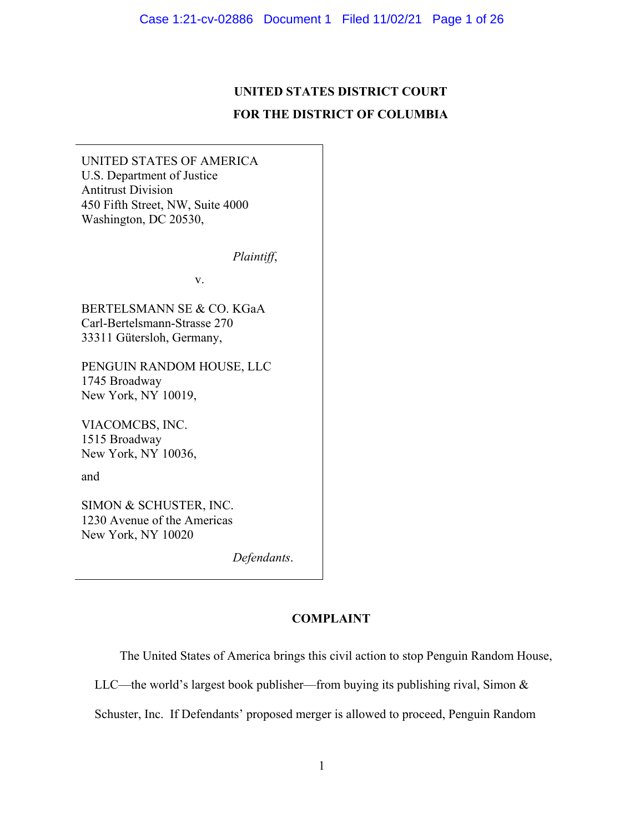# **UNITED STATES DISTRICT COURT FOR THE DISTRICT OF COLUMBIA**

UNITED STATES OF AMERICA U.S. Department of Justice Antitrust Division 450 Fifth Street, NW, Suite 4000 Washington, DC 20530,

 *Plaintiff*,

v.

BERTELSMANN SE & CO. KGaA Carl-Bertelsmann-Strasse 270 33311 Gütersloh, Germany,

PENGUIN RANDOM HOUSE, LLC 1745 Broadway New York, NY 10019,

VIACOMCBS, INC. 1515 Broadway New York, NY 10036,

and

SIMON & SCHUSTER, INC. 1230 Avenue of the Americas New York, NY 10020

 *Defendants*.

# **COMPLAINT**

The United States of America brings this civil action to stop Penguin Random House,

LLC—the world's largest book publisher—from buying its publishing rival, Simon  $\&$ 

Schuster, Inc. If Defendants' proposed merger is allowed to proceed, Penguin Random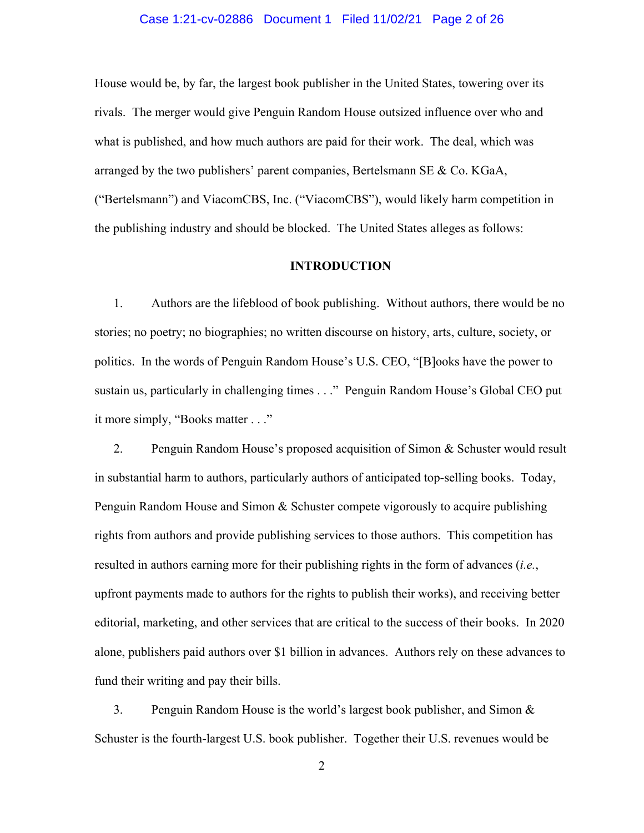#### Case 1:21-cv-02886 Document 1 Filed 11/02/21 Page 2 of 26

House would be, by far, the largest book publisher in the United States, towering over its rivals. The merger would give Penguin Random House outsized influence over who and what is published, and how much authors are paid for their work. The deal, which was arranged by the two publishers' parent companies, Bertelsmann SE & Co. KGaA, ("Bertelsmann") and ViacomCBS, Inc. ("ViacomCBS"), would likely harm competition in the publishing industry and should be blocked. The United States alleges as follows:

## **INTRODUCTION**

1. Authors are the lifeblood of book publishing. Without authors, there would be no stories; no poetry; no biographies; no written discourse on history, arts, culture, society, or politics. In the words of Penguin Random House's U.S. CEO, "[B]ooks have the power to sustain us, particularly in challenging times . . ." Penguin Random House's Global CEO put it more simply, "Books matter . . ."

2. Penguin Random House's proposed acquisition of Simon & Schuster would result in substantial harm to authors, particularly authors of anticipated top-selling books. Today, Penguin Random House and Simon & Schuster compete vigorously to acquire publishing rights from authors and provide publishing services to those authors. This competition has resulted in authors earning more for their publishing rights in the form of advances (*i.e.*, upfront payments made to authors for the rights to publish their works), and receiving better editorial, marketing, and other services that are critical to the success of their books. In 2020 alone, publishers paid authors over \$1 billion in advances. Authors rely on these advances to fund their writing and pay their bills.

3. Penguin Random House is the world's largest book publisher, and Simon & Schuster is the fourth-largest U.S. book publisher. Together their U.S. revenues would be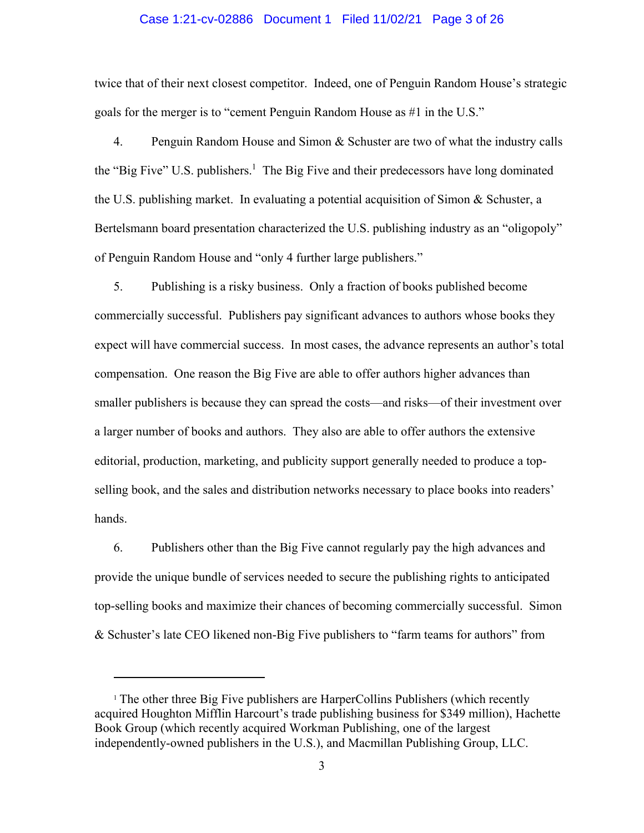#### Case 1:21-cv-02886 Document 1 Filed 11/02/21 Page 3 of 26

twice that of their next closest competitor. Indeed, one of Penguin Random House's strategic goals for the merger is to "cement Penguin Random House as #1 in the U.S."

4. Penguin Random House and Simon & Schuster are two of what the industry calls the "Big Five" U.S. publishers.<sup>1</sup> The Big Five and their predecessors have long dominated the U.S. publishing market. In evaluating a potential acquisition of Simon & Schuster, a Bertelsmann board presentation characterized the U.S. publishing industry as an "oligopoly" of Penguin Random House and "only 4 further large publishers."

5. Publishing is a risky business. Only a fraction of books published become commercially successful. Publishers pay significant advances to authors whose books they expect will have commercial success. In most cases, the advance represents an author's total compensation. One reason the Big Five are able to offer authors higher advances than smaller publishers is because they can spread the costs—and risks—of their investment over a larger number of books and authors. They also are able to offer authors the extensive editorial, production, marketing, and publicity support generally needed to produce a topselling book, and the sales and distribution networks necessary to place books into readers' hands.

6. Publishers other than the Big Five cannot regularly pay the high advances and provide the unique bundle of services needed to secure the publishing rights to anticipated top-selling books and maximize their chances of becoming commercially successful. Simon & Schuster's late CEO likened non-Big Five publishers to "farm teams for authors" from

<sup>1</sup> The other three Big Five publishers are HarperCollins Publishers (which recently acquired Houghton Mifflin Harcourt's trade publishing business for \$349 million), Hachette Book Group (which recently acquired Workman Publishing, one of the largest independently-owned publishers in the U.S.), and Macmillan Publishing Group, LLC.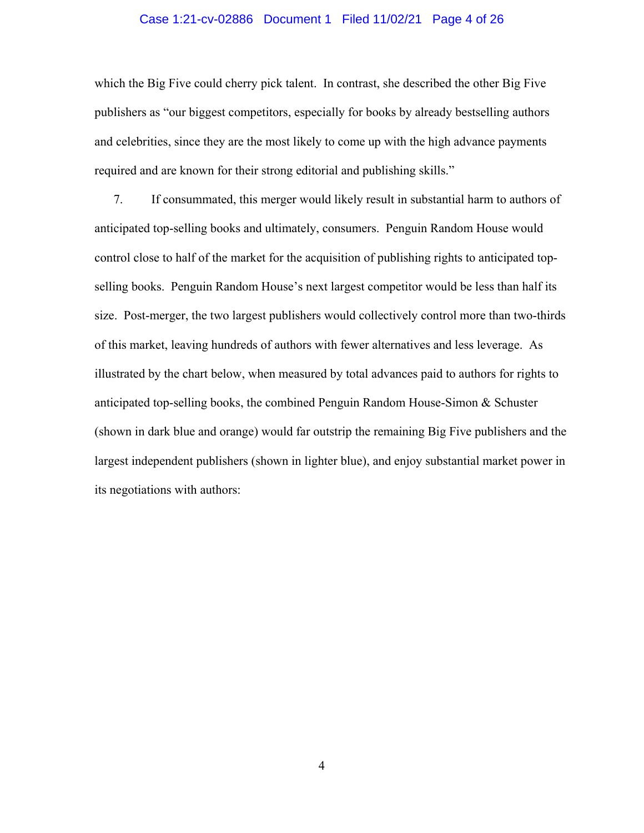#### Case 1:21-cv-02886 Document 1 Filed 11/02/21 Page 4 of 26

which the Big Five could cherry pick talent. In contrast, she described the other Big Five publishers as "our biggest competitors, especially for books by already bestselling authors and celebrities, since they are the most likely to come up with the high advance payments required and are known for their strong editorial and publishing skills."

7. If consummated, this merger would likely result in substantial harm to authors of anticipated top-selling books and ultimately, consumers. Penguin Random House would control close to half of the market for the acquisition of publishing rights to anticipated topselling books. Penguin Random House's next largest competitor would be less than half its size. Post-merger, the two largest publishers would collectively control more than two-thirds of this market, leaving hundreds of authors with fewer alternatives and less leverage. As illustrated by the chart below, when measured by total advances paid to authors for rights to anticipated top-selling books, the combined Penguin Random House-Simon  $\&$  Schuster (shown in dark blue and orange) would far outstrip the remaining Big Five publishers and the largest independent publishers (shown in lighter blue), and enjoy substantial market power in its negotiations with authors: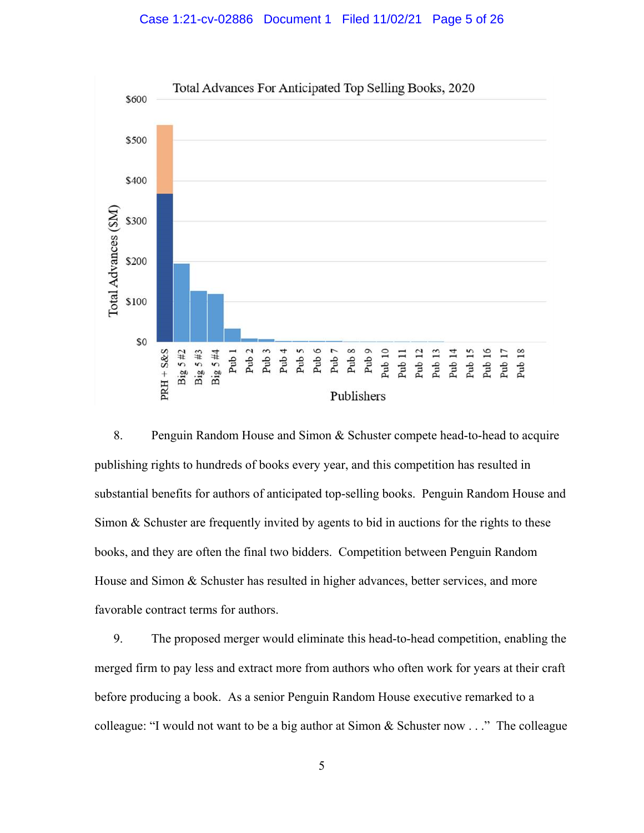#### Case 1:21-cv-02886 Document 1 Filed 11/02/21 Page 5 of 26



8. Penguin Random House and Simon & Schuster compete head-to-head to acquire publishing rights to hundreds of books every year, and this competition has resulted in substantial benefits for authors of anticipated top-selling books. Penguin Random House and Simon & Schuster are frequently invited by agents to bid in auctions for the rights to these books, and they are often the final two bidders. Competition between Penguin Random House and Simon & Schuster has resulted in higher advances, better services, and more favorable contract terms for authors.

9. The proposed merger would eliminate this head-to-head competition, enabling the merged firm to pay less and extract more from authors who often work for years at their craft before producing a book. As a senior Penguin Random House executive remarked to a colleague: "I would not want to be a big author at Simon & Schuster now . . ." The colleague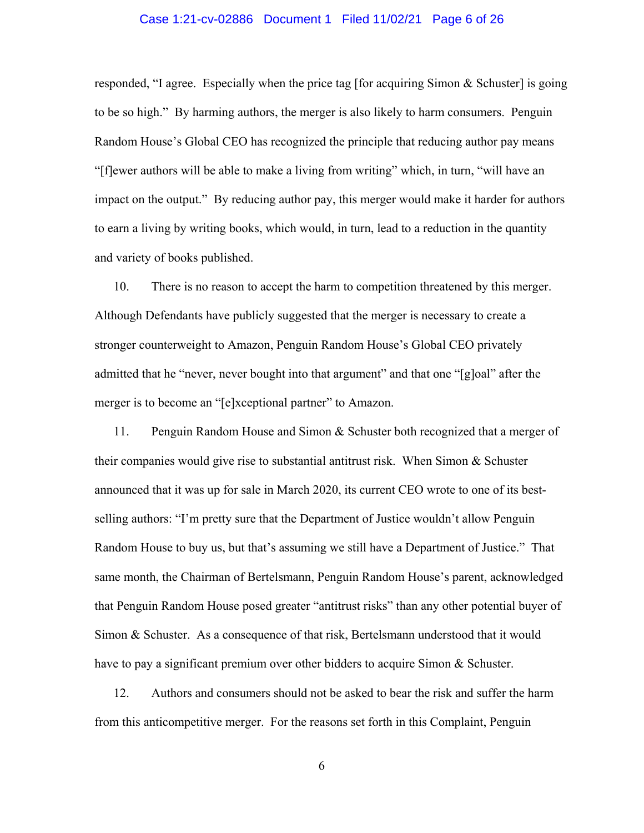### Case 1:21-cv-02886 Document 1 Filed 11/02/21 Page 6 of 26

responded, "I agree. Especially when the price tag [for acquiring Simon & Schuster] is going to be so high." By harming authors, the merger is also likely to harm consumers. Penguin Random House's Global CEO has recognized the principle that reducing author pay means "[f]ewer authors will be able to make a living from writing" which, in turn, "will have an impact on the output." By reducing author pay, this merger would make it harder for authors to earn a living by writing books, which would, in turn, lead to a reduction in the quantity and variety of books published.

10. There is no reason to accept the harm to competition threatened by this merger. Although Defendants have publicly suggested that the merger is necessary to create a stronger counterweight to Amazon, Penguin Random House's Global CEO privately admitted that he "never, never bought into that argument" and that one "[g]oal" after the merger is to become an "[e]xceptional partner" to Amazon.

11. Penguin Random House and Simon & Schuster both recognized that a merger of their companies would give rise to substantial antitrust risk. When Simon & Schuster announced that it was up for sale in March 2020, its current CEO wrote to one of its bestselling authors: "I'm pretty sure that the Department of Justice wouldn't allow Penguin Random House to buy us, but that's assuming we still have a Department of Justice." That same month, the Chairman of Bertelsmann, Penguin Random House's parent, acknowledged that Penguin Random House posed greater "antitrust risks" than any other potential buyer of Simon & Schuster. As a consequence of that risk, Bertelsmann understood that it would have to pay a significant premium over other bidders to acquire Simon  $\&$  Schuster.

12. Authors and consumers should not be asked to bear the risk and suffer the harm from this anticompetitive merger. For the reasons set forth in this Complaint, Penguin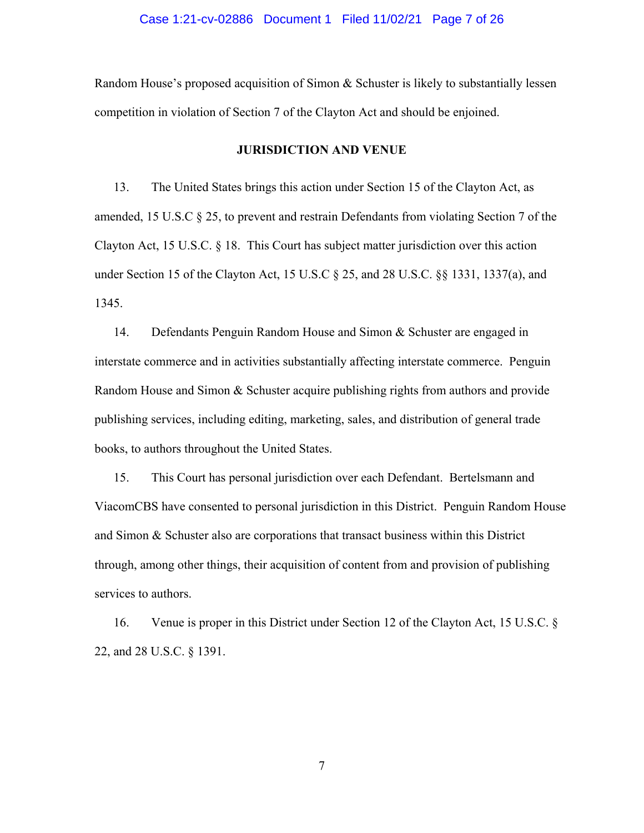Random House's proposed acquisition of Simon & Schuster is likely to substantially lessen competition in violation of Section 7 of the Clayton Act and should be enjoined.

#### **JURISDICTION AND VENUE**

13. The United States brings this action under Section 15 of the Clayton Act, as amended, 15 U.S.C § 25, to prevent and restrain Defendants from violating Section 7 of the Clayton Act, 15 U.S.C. § 18. This Court has subject matter jurisdiction over this action under Section 15 of the Clayton Act, 15 U.S.C § 25, and 28 U.S.C. §§ 1331, 1337(a), and 1345.

14. Defendants Penguin Random House and Simon & Schuster are engaged in interstate commerce and in activities substantially affecting interstate commerce. Penguin Random House and Simon & Schuster acquire publishing rights from authors and provide publishing services, including editing, marketing, sales, and distribution of general trade books, to authors throughout the United States.

15. This Court has personal jurisdiction over each Defendant. Bertelsmann and ViacomCBS have consented to personal jurisdiction in this District. Penguin Random House and Simon & Schuster also are corporations that transact business within this District through, among other things, their acquisition of content from and provision of publishing services to authors.

16. Venue is proper in this District under Section 12 of the Clayton Act, 15 U.S.C. § 22, and 28 U.S.C. § 1391.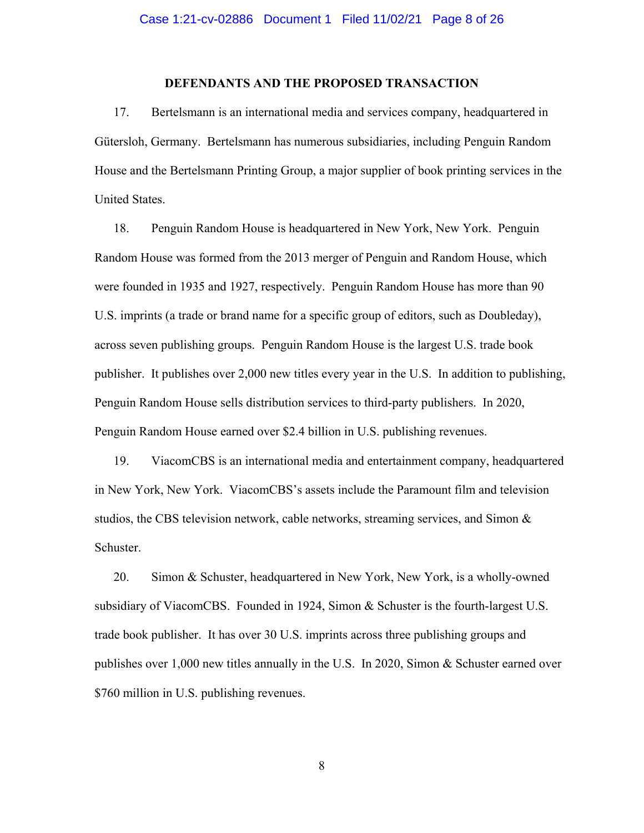#### **DEFENDANTS AND THE PROPOSED TRANSACTION**

17. Bertelsmann is an international media and services company, headquartered in Gütersloh, Germany. Bertelsmann has numerous subsidiaries, including Penguin Random House and the Bertelsmann Printing Group, a major supplier of book printing services in the United States.

18. Penguin Random House is headquartered in New York, New York. Penguin Random House was formed from the 2013 merger of Penguin and Random House, which were founded in 1935 and 1927, respectively. Penguin Random House has more than 90 U.S. imprints (a trade or brand name for a specific group of editors, such as Doubleday), across seven publishing groups. Penguin Random House is the largest U.S. trade book publisher. It publishes over 2,000 new titles every year in the U.S. In addition to publishing, Penguin Random House sells distribution services to third-party publishers. In 2020, Penguin Random House earned over \$2.4 billion in U.S. publishing revenues.

19. ViacomCBS is an international media and entertainment company, headquartered in New York, New York. ViacomCBS's assets include the Paramount film and television studios, the CBS television network, cable networks, streaming services, and Simon & Schuster.

20. Simon & Schuster, headquartered in New York, New York, is a wholly-owned subsidiary of ViacomCBS. Founded in 1924, Simon & Schuster is the fourth-largest U.S. trade book publisher. It has over 30 U.S. imprints across three publishing groups and publishes over 1,000 new titles annually in the U.S. In 2020, Simon & Schuster earned over \$760 million in U.S. publishing revenues.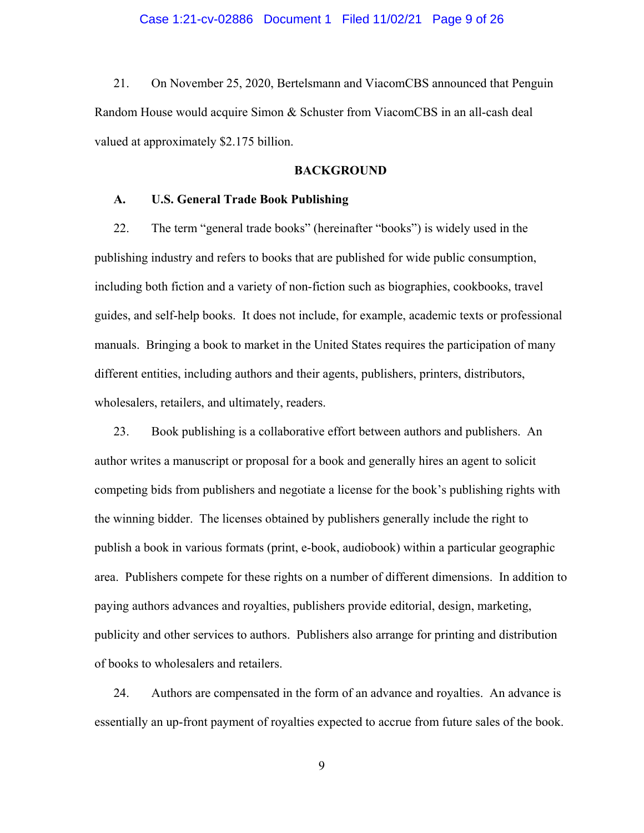21. On November 25, 2020, Bertelsmann and ViacomCBS announced that Penguin Random House would acquire Simon & Schuster from ViacomCBS in an all-cash deal valued at approximately \$2.175 billion.

## **BACKGROUND**

#### **A. U.S. General Trade Book Publishing**

22. The term "general trade books" (hereinafter "books") is widely used in the publishing industry and refers to books that are published for wide public consumption, including both fiction and a variety of non-fiction such as biographies, cookbooks, travel guides, and self-help books. It does not include, for example, academic texts or professional manuals. Bringing a book to market in the United States requires the participation of many different entities, including authors and their agents, publishers, printers, distributors, wholesalers, retailers, and ultimately, readers.

23. Book publishing is a collaborative effort between authors and publishers. An author writes a manuscript or proposal for a book and generally hires an agent to solicit competing bids from publishers and negotiate a license for the book's publishing rights with the winning bidder. The licenses obtained by publishers generally include the right to publish a book in various formats (print, e-book, audiobook) within a particular geographic area. Publishers compete for these rights on a number of different dimensions. In addition to paying authors advances and royalties, publishers provide editorial, design, marketing, publicity and other services to authors. Publishers also arrange for printing and distribution of books to wholesalers and retailers.

24. Authors are compensated in the form of an advance and royalties. An advance is essentially an up-front payment of royalties expected to accrue from future sales of the book.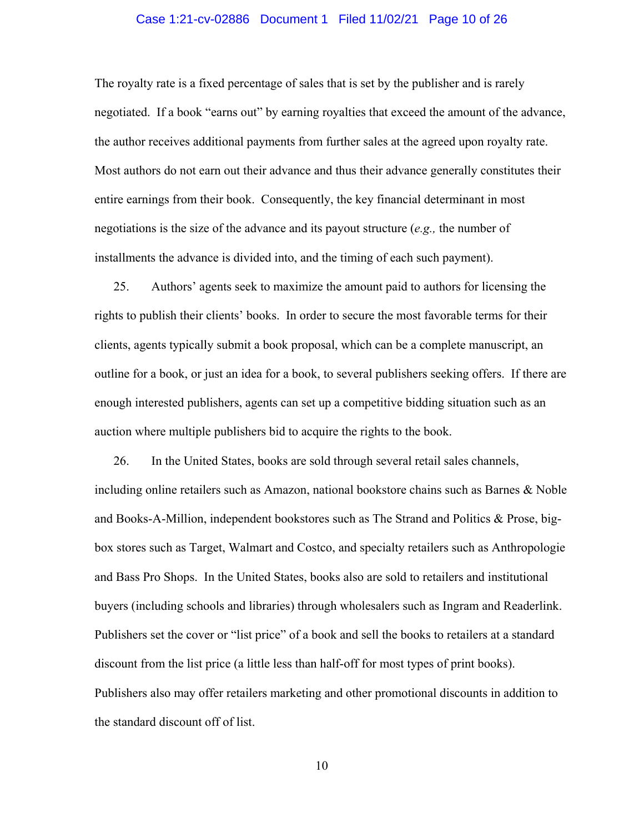#### Case 1:21-cv-02886 Document 1 Filed 11/02/21 Page 10 of 26

The royalty rate is a fixed percentage of sales that is set by the publisher and is rarely negotiated. If a book "earns out" by earning royalties that exceed the amount of the advance, the author receives additional payments from further sales at the agreed upon royalty rate. Most authors do not earn out their advance and thus their advance generally constitutes their entire earnings from their book. Consequently, the key financial determinant in most negotiations is the size of the advance and its payout structure (*e.g.,* the number of installments the advance is divided into, and the timing of each such payment).

25. Authors' agents seek to maximize the amount paid to authors for licensing the rights to publish their clients' books. In order to secure the most favorable terms for their clients, agents typically submit a book proposal, which can be a complete manuscript, an outline for a book, or just an idea for a book, to several publishers seeking offers. If there are enough interested publishers, agents can set up a competitive bidding situation such as an auction where multiple publishers bid to acquire the rights to the book.

26. In the United States, books are sold through several retail sales channels, including online retailers such as Amazon, national bookstore chains such as Barnes & Noble and Books-A-Million, independent bookstores such as The Strand and Politics & Prose, bigbox stores such as Target, Walmart and Costco, and specialty retailers such as Anthropologie and Bass Pro Shops. In the United States, books also are sold to retailers and institutional buyers (including schools and libraries) through wholesalers such as Ingram and Readerlink. Publishers set the cover or "list price" of a book and sell the books to retailers at a standard discount from the list price (a little less than half-off for most types of print books). Publishers also may offer retailers marketing and other promotional discounts in addition to the standard discount off of list.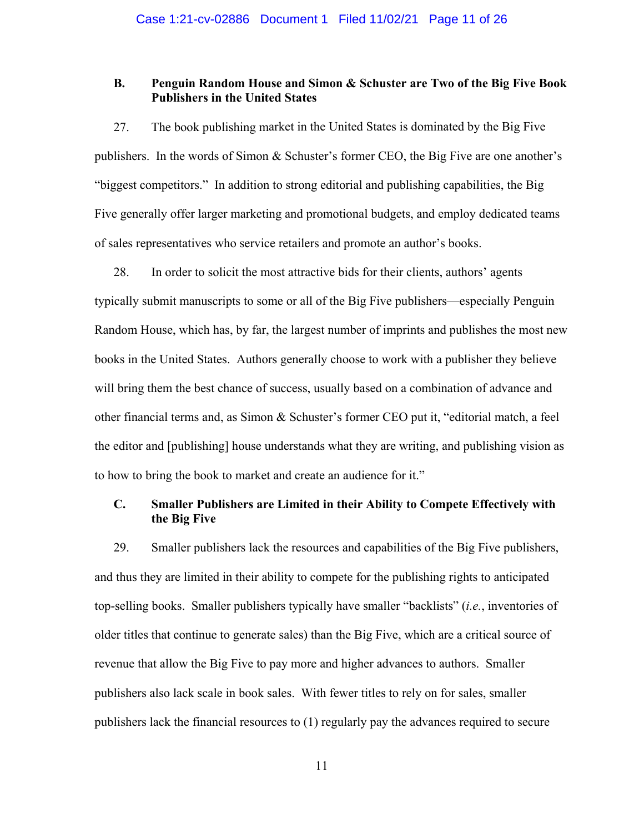## **B. Penguin Random House and Simon & Schuster are Two of the Big Five Book Publishers in the United States**

27. The book publishing market in the United States is dominated by the Big Five publishers. In the words of Simon & Schuster's former CEO, the Big Five are one another's "biggest competitors." In addition to strong editorial and publishing capabilities, the Big Five generally offer larger marketing and promotional budgets, and employ dedicated teams of sales representatives who service retailers and promote an author's books.

28. In order to solicit the most attractive bids for their clients, authors' agents typically submit manuscripts to some or all of the Big Five publishers—especially Penguin Random House, which has, by far, the largest number of imprints and publishes the most new books in the United States. Authors generally choose to work with a publisher they believe will bring them the best chance of success, usually based on a combination of advance and other financial terms and, as Simon & Schuster's former CEO put it, "editorial match, a feel the editor and [publishing] house understands what they are writing, and publishing vision as to how to bring the book to market and create an audience for it."

# **C. Smaller Publishers are Limited in their Ability to Compete Effectively with the Big Five**

29. Smaller publishers lack the resources and capabilities of the Big Five publishers, and thus they are limited in their ability to compete for the publishing rights to anticipated top-selling books. Smaller publishers typically have smaller "backlists" (*i.e.*, inventories of older titles that continue to generate sales) than the Big Five, which are a critical source of revenue that allow the Big Five to pay more and higher advances to authors. Smaller publishers also lack scale in book sales. With fewer titles to rely on for sales, smaller publishers lack the financial resources to (1) regularly pay the advances required to secure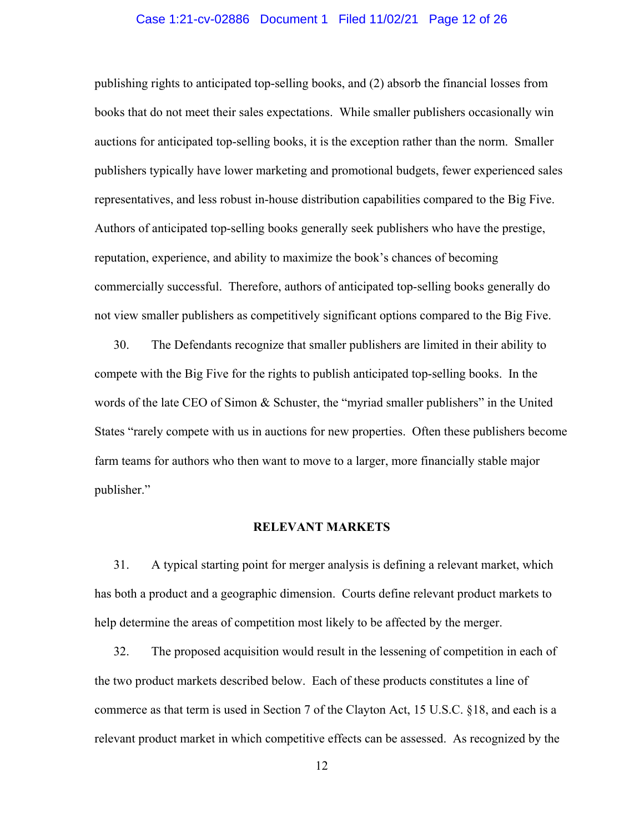## Case 1:21-cv-02886 Document 1 Filed 11/02/21 Page 12 of 26

publishing rights to anticipated top-selling books, and (2) absorb the financial losses from books that do not meet their sales expectations. While smaller publishers occasionally win auctions for anticipated top-selling books, it is the exception rather than the norm. Smaller publishers typically have lower marketing and promotional budgets, fewer experienced sales representatives, and less robust in-house distribution capabilities compared to the Big Five. Authors of anticipated top-selling books generally seek publishers who have the prestige, reputation, experience, and ability to maximize the book's chances of becoming commercially successful. Therefore, authors of anticipated top-selling books generally do not view smaller publishers as competitively significant options compared to the Big Five.

30. The Defendants recognize that smaller publishers are limited in their ability to compete with the Big Five for the rights to publish anticipated top-selling books. In the words of the late CEO of Simon & Schuster, the "myriad smaller publishers" in the United States "rarely compete with us in auctions for new properties. Often these publishers become farm teams for authors who then want to move to a larger, more financially stable major publisher."

### **RELEVANT MARKETS**

31. A typical starting point for merger analysis is defining a relevant market, which has both a product and a geographic dimension. Courts define relevant product markets to help determine the areas of competition most likely to be affected by the merger.

32. The proposed acquisition would result in the lessening of competition in each of the two product markets described below. Each of these products constitutes a line of commerce as that term is used in Section 7 of the Clayton Act, 15 U.S.C. §18, and each is a relevant product market in which competitive effects can be assessed. As recognized by the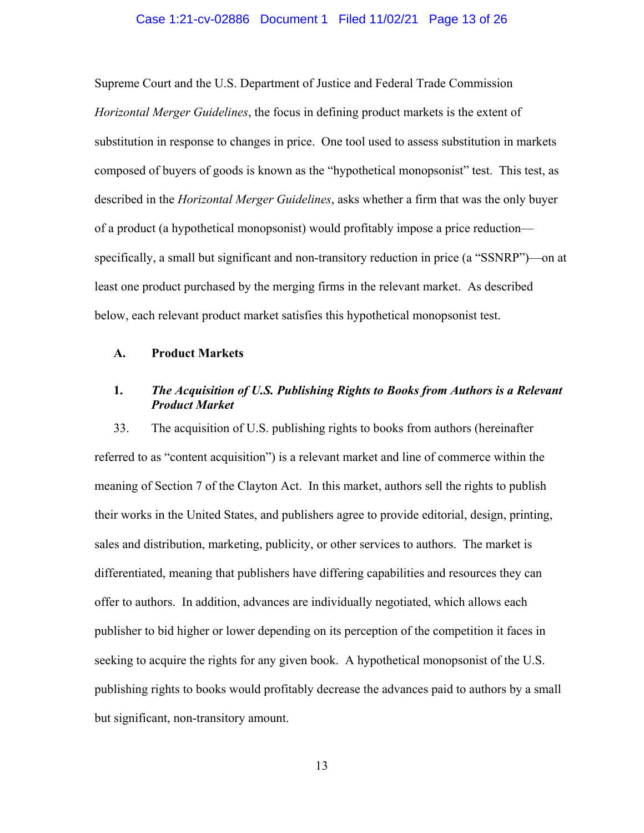## Case 1:21-cv-02886 Document 1 Filed 11/02/21 Page 13 of 26

Supreme Court and the U.S. Department of Justice and Federal Trade Commission *Horizontal Merger Guidelines*, the focus in defining product markets is the extent of substitution in response to changes in price. One tool used to assess substitution in markets composed of buyers of goods is known as the "hypothetical monopsonist" test. This test, as described in the *Horizontal Merger Guidelines*, asks whether a firm that was the only buyer of a product (a hypothetical monopsonist) would profitably impose a price reduction specifically, a small but significant and non-transitory reduction in price (a "SSNRP")—on at least one product purchased by the merging firms in the relevant market. As described below, each relevant product market satisfies this hypothetical monopsonist test.

## **A. Product Markets**

# **1.** *The Acquisition of U.S. Publishing Rights to Books from Authors is a Relevant Product Market*

33. The acquisition of U.S. publishing rights to books from authors (hereinafter referred to as "content acquisition") is a relevant market and line of commerce within the meaning of Section 7 of the Clayton Act. In this market, authors sell the rights to publish their works in the United States, and publishers agree to provide editorial, design, printing, sales and distribution, marketing, publicity, or other services to authors. The market is differentiated, meaning that publishers have differing capabilities and resources they can offer to authors. In addition, advances are individually negotiated, which allows each publisher to bid higher or lower depending on its perception of the competition it faces in seeking to acquire the rights for any given book. A hypothetical monopsonist of the U.S. publishing rights to books would profitably decrease the advances paid to authors by a small but significant, non-transitory amount.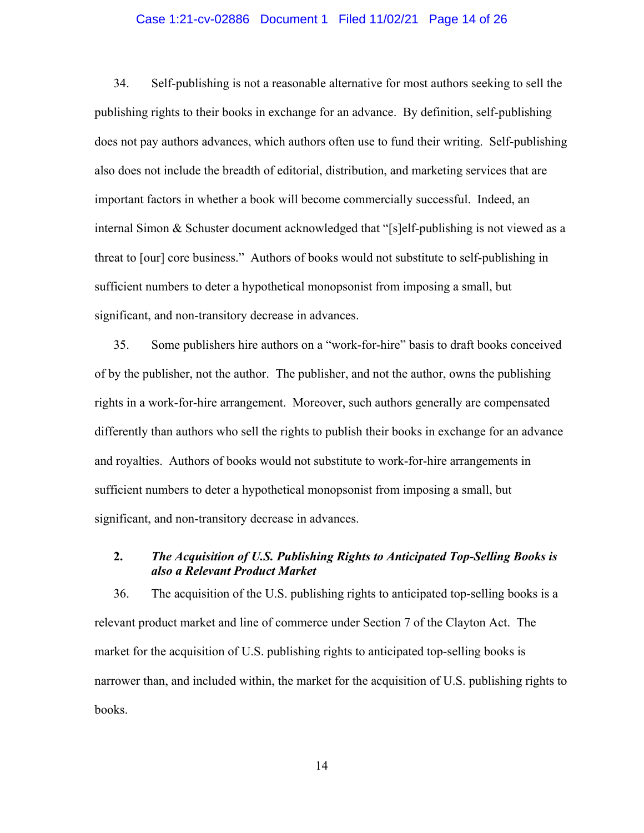#### Case 1:21-cv-02886 Document 1 Filed 11/02/21 Page 14 of 26

34. Self-publishing is not a reasonable alternative for most authors seeking to sell the publishing rights to their books in exchange for an advance. By definition, self-publishing does not pay authors advances, which authors often use to fund their writing. Self-publishing also does not include the breadth of editorial, distribution, and marketing services that are important factors in whether a book will become commercially successful. Indeed, an internal Simon & Schuster document acknowledged that "[s]elf-publishing is not viewed as a threat to [our] core business." Authors of books would not substitute to self-publishing in sufficient numbers to deter a hypothetical monopsonist from imposing a small, but significant, and non-transitory decrease in advances.

35. Some publishers hire authors on a "work-for-hire" basis to draft books conceived of by the publisher, not the author. The publisher, and not the author, owns the publishing rights in a work-for-hire arrangement. Moreover, such authors generally are compensated differently than authors who sell the rights to publish their books in exchange for an advance and royalties. Authors of books would not substitute to work-for-hire arrangements in sufficient numbers to deter a hypothetical monopsonist from imposing a small, but significant, and non-transitory decrease in advances.

# **2.** *The Acquisition of U.S. Publishing Rights to Anticipated Top-Selling Books is also a Relevant Product Market*

36. The acquisition of the U.S. publishing rights to anticipated top-selling books is a relevant product market and line of commerce under Section 7 of the Clayton Act. The market for the acquisition of U.S. publishing rights to anticipated top-selling books is narrower than, and included within, the market for the acquisition of U.S. publishing rights to books.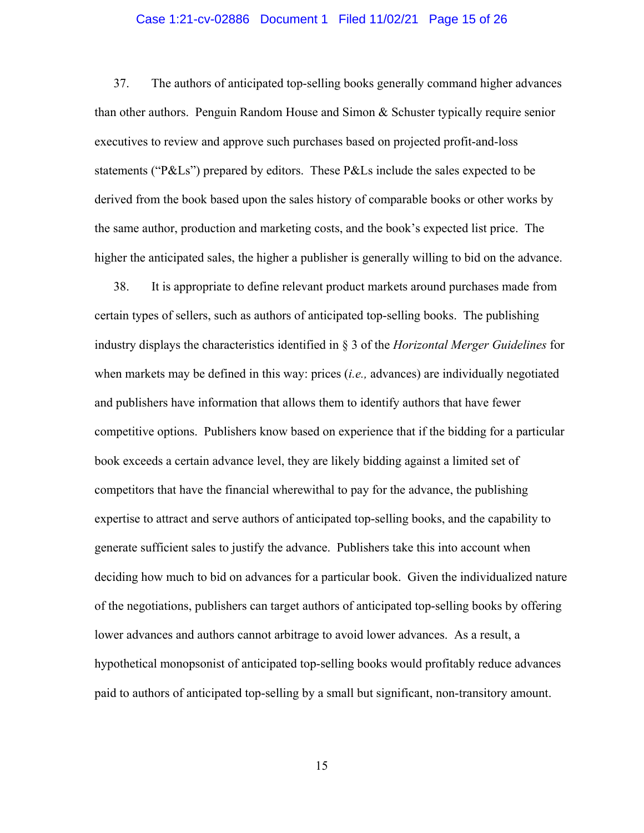#### Case 1:21-cv-02886 Document 1 Filed 11/02/21 Page 15 of 26

37. The authors of anticipated top-selling books generally command higher advances than other authors. Penguin Random House and Simon & Schuster typically require senior executives to review and approve such purchases based on projected profit-and-loss statements ("P&Ls") prepared by editors. These P&Ls include the sales expected to be derived from the book based upon the sales history of comparable books or other works by the same author, production and marketing costs, and the book's expected list price. The higher the anticipated sales, the higher a publisher is generally willing to bid on the advance.

38. It is appropriate to define relevant product markets around purchases made from certain types of sellers, such as authors of anticipated top-selling books. The publishing industry displays the characteristics identified in § 3 of the *Horizontal Merger Guidelines* for when markets may be defined in this way: prices (*i.e.,* advances) are individually negotiated and publishers have information that allows them to identify authors that have fewer competitive options. Publishers know based on experience that if the bidding for a particular book exceeds a certain advance level, they are likely bidding against a limited set of competitors that have the financial wherewithal to pay for the advance, the publishing expertise to attract and serve authors of anticipated top-selling books, and the capability to generate sufficient sales to justify the advance. Publishers take this into account when deciding how much to bid on advances for a particular book. Given the individualized nature of the negotiations, publishers can target authors of anticipated top-selling books by offering lower advances and authors cannot arbitrage to avoid lower advances. As a result, a hypothetical monopsonist of anticipated top-selling books would profitably reduce advances paid to authors of anticipated top-selling by a small but significant, non-transitory amount.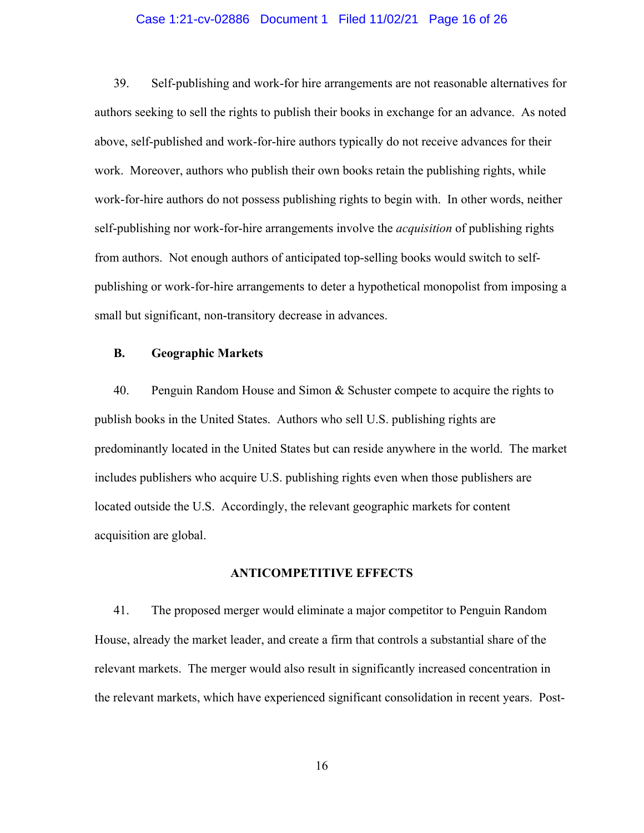#### Case 1:21-cv-02886 Document 1 Filed 11/02/21 Page 16 of 26

39. Self-publishing and work-for hire arrangements are not reasonable alternatives for authors seeking to sell the rights to publish their books in exchange for an advance. As noted above, self-published and work-for-hire authors typically do not receive advances for their work. Moreover, authors who publish their own books retain the publishing rights, while work-for-hire authors do not possess publishing rights to begin with. In other words, neither self-publishing nor work-for-hire arrangements involve the *acquisition* of publishing rights from authors. Not enough authors of anticipated top-selling books would switch to selfpublishing or work-for-hire arrangements to deter a hypothetical monopolist from imposing a small but significant, non-transitory decrease in advances.

## **B. Geographic Markets**

40. Penguin Random House and Simon & Schuster compete to acquire the rights to publish books in the United States. Authors who sell U.S. publishing rights are predominantly located in the United States but can reside anywhere in the world. The market includes publishers who acquire U.S. publishing rights even when those publishers are located outside the U.S. Accordingly, the relevant geographic markets for content acquisition are global.

## **ANTICOMPETITIVE EFFECTS**

41. The proposed merger would eliminate a major competitor to Penguin Random House, already the market leader, and create a firm that controls a substantial share of the relevant markets. The merger would also result in significantly increased concentration in the relevant markets, which have experienced significant consolidation in recent years. Post-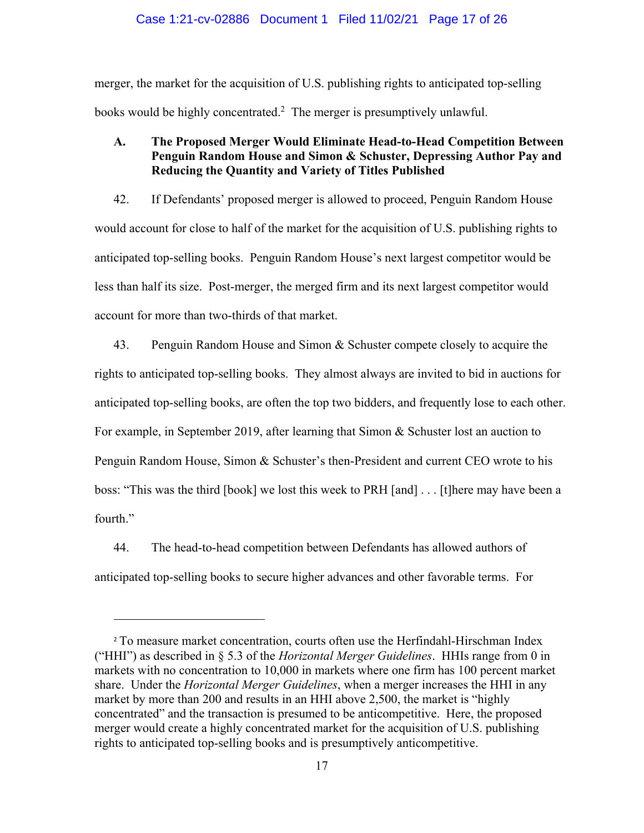#### Case 1:21-cv-02886 Document 1 Filed 11/02/21 Page 17 of 26

merger, the market for the acquisition of U.S. publishing rights to anticipated top-selling books would be highly concentrated.<sup>2</sup> The merger is presumptively unlawful.

# **A. The Proposed Merger Would Eliminate Head-to-Head Competition Between Penguin Random House and Simon & Schuster, Depressing Author Pay and Reducing the Quantity and Variety of Titles Published**

42. If Defendants' proposed merger is allowed to proceed, Penguin Random House would account for close to half of the market for the acquisition of U.S. publishing rights to anticipated top-selling books. Penguin Random House's next largest competitor would be less than half its size. Post-merger, the merged firm and its next largest competitor would account for more than two-thirds of that market.

43. Penguin Random House and Simon & Schuster compete closely to acquire the rights to anticipated top-selling books. They almost always are invited to bid in auctions for anticipated top-selling books, are often the top two bidders, and frequently lose to each other. For example, in September 2019, after learning that Simon & Schuster lost an auction to Penguin Random House, Simon & Schuster's then-President and current CEO wrote to his boss: "This was the third [book] we lost this week to PRH [and] . . . [t]here may have been a fourth."

44. The head-to-head competition between Defendants has allowed authors of anticipated top-selling books to secure higher advances and other favorable terms. For

<sup>&</sup>lt;sup>2</sup> To measure market concentration, courts often use the Herfindahl-Hirschman Index ("HHI") as described in § 5.3 of the *Horizontal Merger Guidelines*. HHIs range from 0 in markets with no concentration to 10,000 in markets where one firm has 100 percent market share. Under the *Horizontal Merger Guidelines*, when a merger increases the HHI in any market by more than 200 and results in an HHI above 2,500, the market is "highly concentrated" and the transaction is presumed to be anticompetitive. Here, the proposed merger would create a highly concentrated market for the acquisition of U.S. publishing rights to anticipated top-selling books and is presumptively anticompetitive.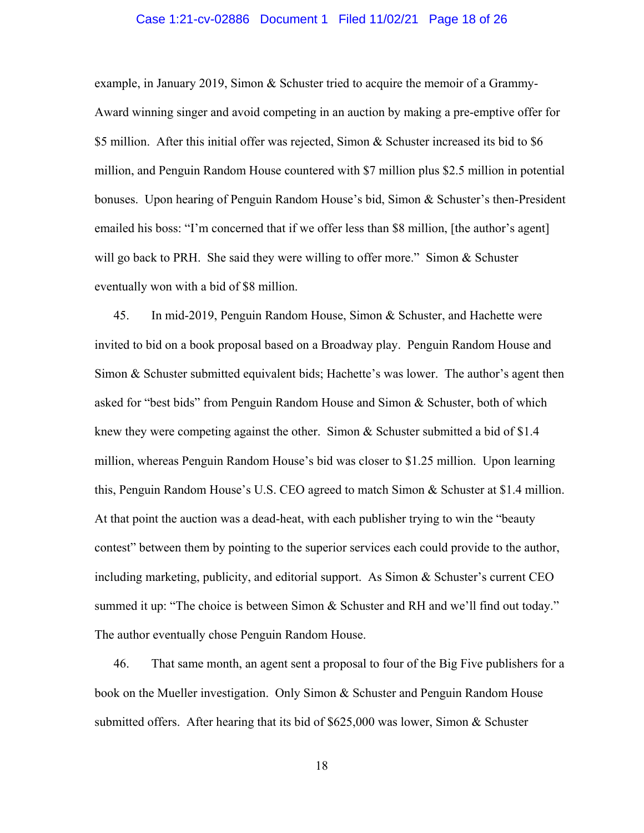#### Case 1:21-cv-02886 Document 1 Filed 11/02/21 Page 18 of 26

example, in January 2019, Simon & Schuster tried to acquire the memoir of a Grammy-Award winning singer and avoid competing in an auction by making a pre-emptive offer for \$5 million. After this initial offer was rejected, Simon & Schuster increased its bid to \$6 million, and Penguin Random House countered with \$7 million plus \$2.5 million in potential bonuses. Upon hearing of Penguin Random House's bid, Simon & Schuster's then-President emailed his boss: "I'm concerned that if we offer less than \$8 million, [the author's agent] will go back to PRH. She said they were willing to offer more." Simon  $&$  Schuster eventually won with a bid of \$8 million.

45. In mid-2019, Penguin Random House, Simon & Schuster, and Hachette were invited to bid on a book proposal based on a Broadway play. Penguin Random House and Simon & Schuster submitted equivalent bids; Hachette's was lower. The author's agent then asked for "best bids" from Penguin Random House and Simon & Schuster, both of which knew they were competing against the other. Simon & Schuster submitted a bid of \$1.4 million, whereas Penguin Random House's bid was closer to \$1.25 million. Upon learning this, Penguin Random House's U.S. CEO agreed to match Simon & Schuster at \$1.4 million. At that point the auction was a dead-heat, with each publisher trying to win the "beauty contest" between them by pointing to the superior services each could provide to the author, including marketing, publicity, and editorial support. As Simon & Schuster's current CEO summed it up: "The choice is between Simon & Schuster and RH and we'll find out today." The author eventually chose Penguin Random House.

46. That same month, an agent sent a proposal to four of the Big Five publishers for a book on the Mueller investigation. Only Simon & Schuster and Penguin Random House submitted offers. After hearing that its bid of \$625,000 was lower, Simon & Schuster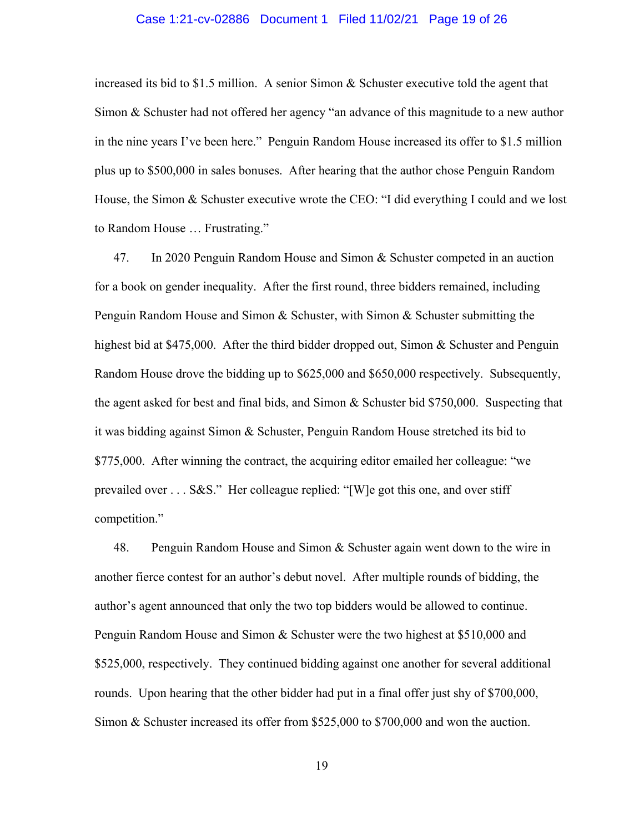## Case 1:21-cv-02886 Document 1 Filed 11/02/21 Page 19 of 26

increased its bid to \$1.5 million. A senior Simon & Schuster executive told the agent that Simon & Schuster had not offered her agency "an advance of this magnitude to a new author in the nine years I've been here." Penguin Random House increased its offer to \$1.5 million plus up to \$500,000 in sales bonuses. After hearing that the author chose Penguin Random House, the Simon & Schuster executive wrote the CEO: "I did everything I could and we lost to Random House … Frustrating."

47. In 2020 Penguin Random House and Simon & Schuster competed in an auction for a book on gender inequality. After the first round, three bidders remained, including Penguin Random House and Simon & Schuster, with Simon & Schuster submitting the highest bid at \$475,000. After the third bidder dropped out, Simon & Schuster and Penguin Random House drove the bidding up to \$625,000 and \$650,000 respectively. Subsequently, the agent asked for best and final bids, and Simon & Schuster bid \$750,000. Suspecting that it was bidding against Simon & Schuster, Penguin Random House stretched its bid to \$775,000. After winning the contract, the acquiring editor emailed her colleague: "we prevailed over . . . S&S." Her colleague replied: "[W]e got this one, and over stiff competition."

48. Penguin Random House and Simon & Schuster again went down to the wire in another fierce contest for an author's debut novel. After multiple rounds of bidding, the author's agent announced that only the two top bidders would be allowed to continue. Penguin Random House and Simon & Schuster were the two highest at \$510,000 and \$525,000, respectively. They continued bidding against one another for several additional rounds. Upon hearing that the other bidder had put in a final offer just shy of \$700,000, Simon & Schuster increased its offer from \$525,000 to \$700,000 and won the auction.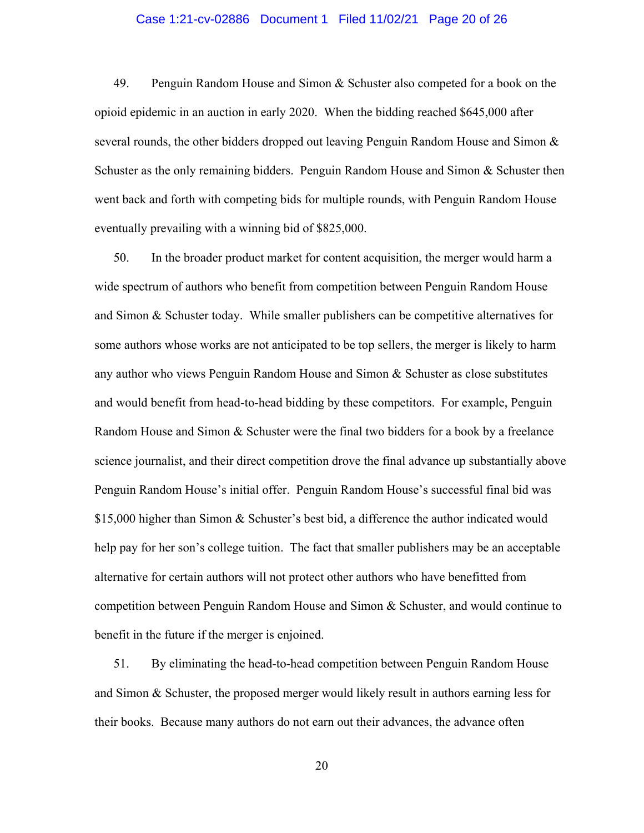#### Case 1:21-cv-02886 Document 1 Filed 11/02/21 Page 20 of 26

49. Penguin Random House and Simon & Schuster also competed for a book on the opioid epidemic in an auction in early 2020. When the bidding reached \$645,000 after several rounds, the other bidders dropped out leaving Penguin Random House and Simon  $\&$ Schuster as the only remaining bidders. Penguin Random House and Simon & Schuster then went back and forth with competing bids for multiple rounds, with Penguin Random House eventually prevailing with a winning bid of \$825,000.

50. In the broader product market for content acquisition, the merger would harm a wide spectrum of authors who benefit from competition between Penguin Random House and Simon  $\&$  Schuster today. While smaller publishers can be competitive alternatives for some authors whose works are not anticipated to be top sellers, the merger is likely to harm any author who views Penguin Random House and Simon & Schuster as close substitutes and would benefit from head-to-head bidding by these competitors. For example, Penguin Random House and Simon & Schuster were the final two bidders for a book by a freelance science journalist, and their direct competition drove the final advance up substantially above Penguin Random House's initial offer. Penguin Random House's successful final bid was \$15,000 higher than Simon & Schuster's best bid, a difference the author indicated would help pay for her son's college tuition. The fact that smaller publishers may be an acceptable alternative for certain authors will not protect other authors who have benefitted from competition between Penguin Random House and Simon & Schuster, and would continue to benefit in the future if the merger is enjoined.

51. By eliminating the head-to-head competition between Penguin Random House and Simon & Schuster, the proposed merger would likely result in authors earning less for their books. Because many authors do not earn out their advances, the advance often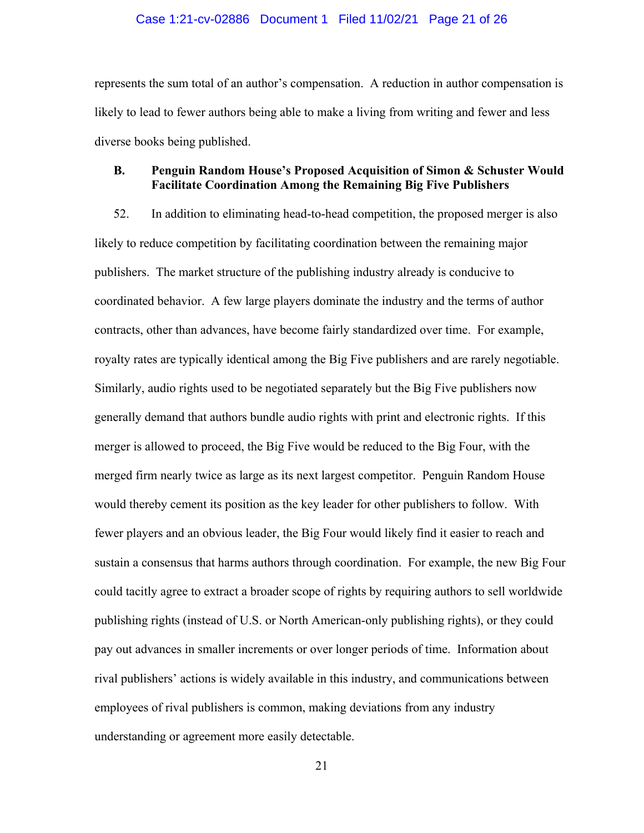#### Case 1:21-cv-02886 Document 1 Filed 11/02/21 Page 21 of 26

represents the sum total of an author's compensation. A reduction in author compensation is likely to lead to fewer authors being able to make a living from writing and fewer and less diverse books being published.

# **B. Penguin Random House's Proposed Acquisition of Simon & Schuster Would Facilitate Coordination Among the Remaining Big Five Publishers**

52. In addition to eliminating head-to-head competition, the proposed merger is also likely to reduce competition by facilitating coordination between the remaining major publishers. The market structure of the publishing industry already is conducive to coordinated behavior. A few large players dominate the industry and the terms of author contracts, other than advances, have become fairly standardized over time. For example, royalty rates are typically identical among the Big Five publishers and are rarely negotiable. Similarly, audio rights used to be negotiated separately but the Big Five publishers now generally demand that authors bundle audio rights with print and electronic rights. If this merger is allowed to proceed, the Big Five would be reduced to the Big Four, with the merged firm nearly twice as large as its next largest competitor. Penguin Random House would thereby cement its position as the key leader for other publishers to follow. With fewer players and an obvious leader, the Big Four would likely find it easier to reach and sustain a consensus that harms authors through coordination. For example, the new Big Four could tacitly agree to extract a broader scope of rights by requiring authors to sell worldwide publishing rights (instead of U.S. or North American-only publishing rights), or they could pay out advances in smaller increments or over longer periods of time. Information about rival publishers' actions is widely available in this industry, and communications between employees of rival publishers is common, making deviations from any industry understanding or agreement more easily detectable.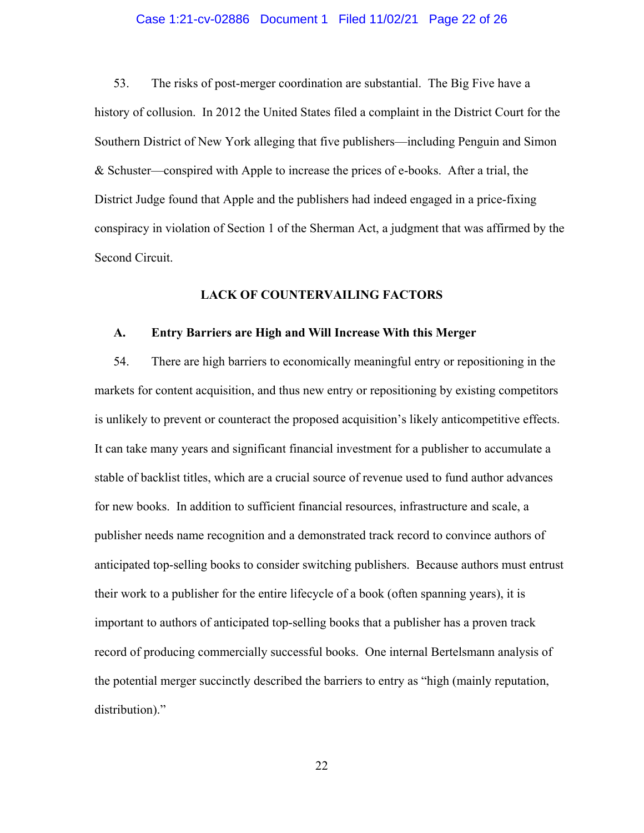## Case 1:21-cv-02886 Document 1 Filed 11/02/21 Page 22 of 26

53. The risks of post-merger coordination are substantial. The Big Five have a history of collusion. In 2012 the United States filed a complaint in the District Court for the Southern District of New York alleging that five publishers—including Penguin and Simon & Schuster—conspired with Apple to increase the prices of e-books. After a trial, the District Judge found that Apple and the publishers had indeed engaged in a price-fixing conspiracy in violation of Section 1 of the Sherman Act, a judgment that was affirmed by the Second Circuit.

## **LACK OF COUNTERVAILING FACTORS**

### **A. Entry Barriers are High and Will Increase With this Merger**

54. There are high barriers to economically meaningful entry or repositioning in the markets for content acquisition, and thus new entry or repositioning by existing competitors is unlikely to prevent or counteract the proposed acquisition's likely anticompetitive effects. It can take many years and significant financial investment for a publisher to accumulate a stable of backlist titles, which are a crucial source of revenue used to fund author advances for new books. In addition to sufficient financial resources, infrastructure and scale, a publisher needs name recognition and a demonstrated track record to convince authors of anticipated top-selling books to consider switching publishers. Because authors must entrust their work to a publisher for the entire lifecycle of a book (often spanning years), it is important to authors of anticipated top-selling books that a publisher has a proven track record of producing commercially successful books. One internal Bertelsmann analysis of the potential merger succinctly described the barriers to entry as "high (mainly reputation, distribution)."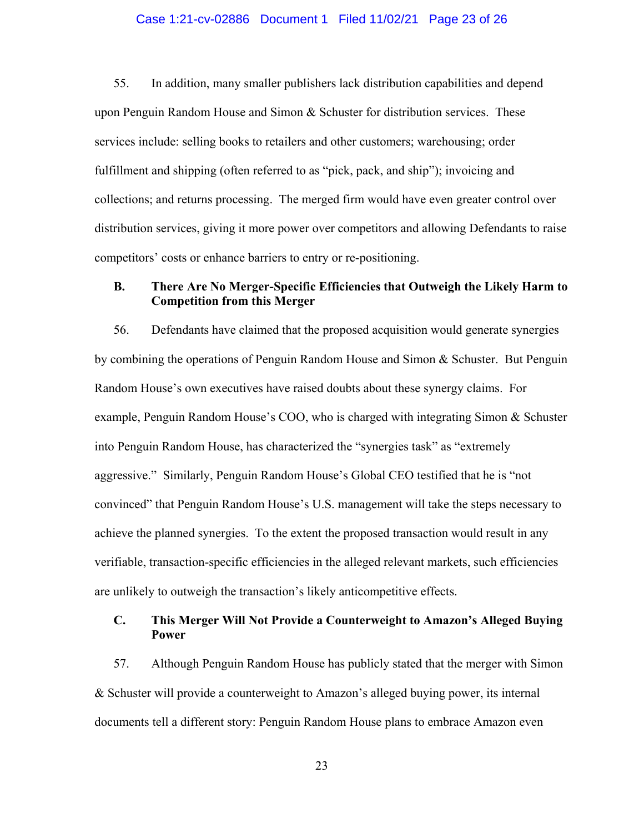### Case 1:21-cv-02886 Document 1 Filed 11/02/21 Page 23 of 26

55. In addition, many smaller publishers lack distribution capabilities and depend upon Penguin Random House and Simon  $\&$  Schuster for distribution services. These services include: selling books to retailers and other customers; warehousing; order fulfillment and shipping (often referred to as "pick, pack, and ship"); invoicing and collections; and returns processing. The merged firm would have even greater control over distribution services, giving it more power over competitors and allowing Defendants to raise competitors' costs or enhance barriers to entry or re-positioning.

## **B. There Are No Merger-Specific Efficiencies that Outweigh the Likely Harm to Competition from this Merger**

56. Defendants have claimed that the proposed acquisition would generate synergies by combining the operations of Penguin Random House and Simon & Schuster. But Penguin Random House's own executives have raised doubts about these synergy claims. For example, Penguin Random House's COO, who is charged with integrating Simon & Schuster into Penguin Random House, has characterized the "synergies task" as "extremely aggressive." Similarly, Penguin Random House's Global CEO testified that he is "not convinced" that Penguin Random House's U.S. management will take the steps necessary to achieve the planned synergies. To the extent the proposed transaction would result in any verifiable, transaction-specific efficiencies in the alleged relevant markets, such efficiencies are unlikely to outweigh the transaction's likely anticompetitive effects.

# **C. This Merger Will Not Provide a Counterweight to Amazon's Alleged Buying Power**

57. Although Penguin Random House has publicly stated that the merger with Simon & Schuster will provide a counterweight to Amazon's alleged buying power, its internal documents tell a different story: Penguin Random House plans to embrace Amazon even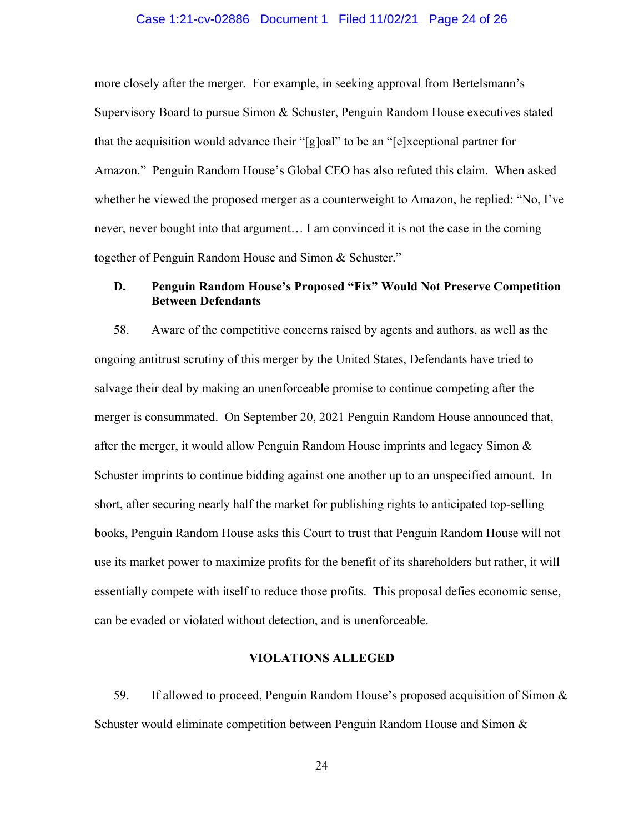#### Case 1:21-cv-02886 Document 1 Filed 11/02/21 Page 24 of 26

more closely after the merger. For example, in seeking approval from Bertelsmann's Supervisory Board to pursue Simon & Schuster, Penguin Random House executives stated that the acquisition would advance their "[g]oal" to be an "[e]xceptional partner for Amazon." Penguin Random House's Global CEO has also refuted this claim. When asked whether he viewed the proposed merger as a counterweight to Amazon, he replied: "No, I've never, never bought into that argument… I am convinced it is not the case in the coming together of Penguin Random House and Simon & Schuster."

## **D. Penguin Random House's Proposed "Fix" Would Not Preserve Competition Between Defendants**

58. Aware of the competitive concerns raised by agents and authors, as well as the ongoing antitrust scrutiny of this merger by the United States, Defendants have tried to salvage their deal by making an unenforceable promise to continue competing after the merger is consummated. On September 20, 2021 Penguin Random House announced that, after the merger, it would allow Penguin Random House imprints and legacy Simon  $\&$ Schuster imprints to continue bidding against one another up to an unspecified amount. In short, after securing nearly half the market for publishing rights to anticipated top-selling books, Penguin Random House asks this Court to trust that Penguin Random House will not use its market power to maximize profits for the benefit of its shareholders but rather, it will essentially compete with itself to reduce those profits. This proposal defies economic sense, can be evaded or violated without detection, and is unenforceable.

### **VIOLATIONS ALLEGED**

59. If allowed to proceed, Penguin Random House's proposed acquisition of Simon & Schuster would eliminate competition between Penguin Random House and Simon &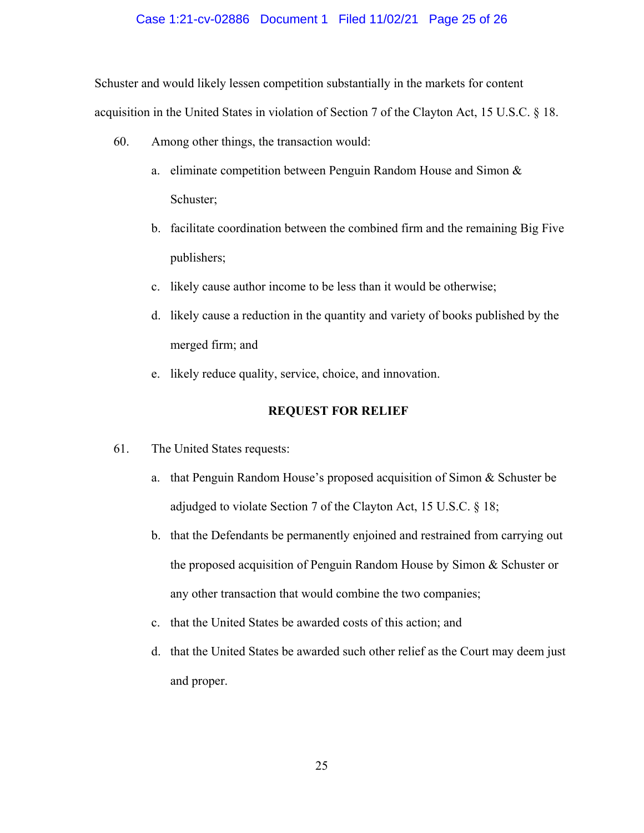#### Case 1:21-cv-02886 Document 1 Filed 11/02/21 Page 25 of 26

Schuster and would likely lessen competition substantially in the markets for content acquisition in the United States in violation of Section 7 of the Clayton Act, 15 U.S.C. § 18.

- 60. Among other things, the transaction would:
	- a. eliminate competition between Penguin Random House and Simon & Schuster;
	- b. facilitate coordination between the combined firm and the remaining Big Five publishers;
	- c. likely cause author income to be less than it would be otherwise;
	- d. likely cause a reduction in the quantity and variety of books published by the merged firm; and
	- e. likely reduce quality, service, choice, and innovation.

## **REQUEST FOR RELIEF**

- 61. The United States requests:
	- a. that Penguin Random House's proposed acquisition of Simon & Schuster be adjudged to violate Section 7 of the Clayton Act, 15 U.S.C. § 18;
	- b. that the Defendants be permanently enjoined and restrained from carrying out the proposed acquisition of Penguin Random House by Simon & Schuster or any other transaction that would combine the two companies;
	- c. that the United States be awarded costs of this action; and
	- d. that the United States be awarded such other relief as the Court may deem just and proper.